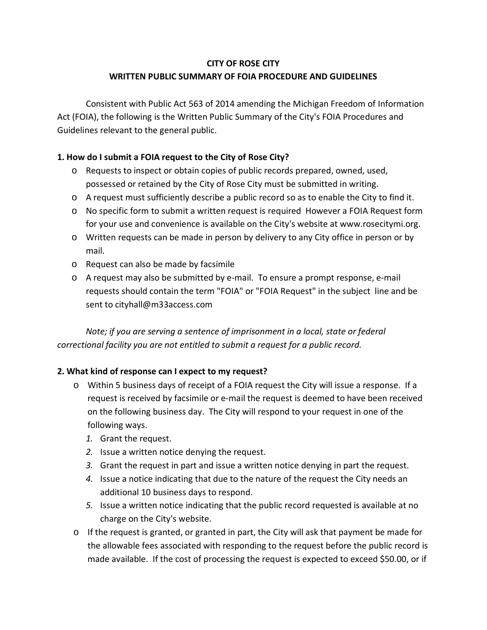# **CITY OF ROSE CITY WRITTEN PUBLIC SUMMARY OF FOIA PROCEDURE AND GUIDELINES**

Consistent with Public Act 563 of 2014 amending the Michigan Freedom of Information Act (FOIA), the following is the Written Public Summary of the City's FOIA Procedures and Guidelines relevant to the general public.

# **1. How do I submit a FOIA request to the City of Rose City?**

- o Requests to inspect or obtain copies of public records prepared, owned, used, possessed or retained by the City of Rose City must be submitted in writing.
- o A request must sufficiently describe a public record so as to enable the City to find it.
- o No specific form to submit a written request is required However a FOIA Request form for your use and convenience is available on the City's website at www.rosecitymi.org.
- o Written requests can be made in person by delivery to any City office in person or by mail.
- o Request can also be made by facsimile
- o A request may also be submitted by e-mail. To ensure a prompt response, e-mail requests should contain the term "FOIA" or "FOIA Request" in the subject line and be sent to cityhall@m33access.com

*Note; if you are serving a sentence of imprisonment in a local, state or federal correctional facility you are not entitled to submit a request for a public record.*

# **2. What kind of response can I expect to my request?**

- o Within 5 business days of receipt of a FOIA request the City will issue a response. If a request is received by facsimile or e-mail the request is deemed to have been received on the following business day. The City will respond to your request in one of the following ways.
	- *1.* Grant the request.
	- *2.* Issue a written notice denying the request.
	- *3.* Grant the request in part and issue a written notice denying in part the request.
	- *4.* Issue a notice indicating that due to the nature of the request the City needs an additional 10 business days to respond.
	- *5.* Issue a written notice indicating that the public record requested is available at no charge on the City's website.
- o If the request is granted, or granted in part, the City will ask that payment be made for the allowable fees associated with responding to the request before the public record is made available. If the cost of processing the request is expected to exceed \$50.00, or if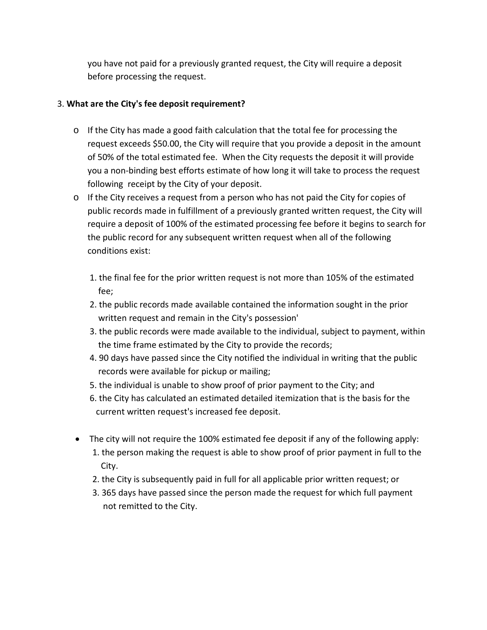you have not paid for a previously granted request, the City will require a deposit before processing the request.

## 3. **What are the City's fee deposit requirement?**

- o If the City has made a good faith calculation that the total fee for processing the request exceeds \$50.00, the City will require that you provide a deposit in the amount of 50% of the total estimated fee. When the City requests the deposit it will provide you a non-binding best efforts estimate of how long it will take to process the request following receipt by the City of your deposit.
- o If the City receives a request from a person who has not paid the City for copies of public records made in fulfillment of a previously granted written request, the City will require a deposit of 100% of the estimated processing fee before it begins to search for the public record for any subsequent written request when all of the following conditions exist:
	- 1. the final fee for the prior written request is not more than 105% of the estimated fee;
	- 2. the public records made available contained the information sought in the prior written request and remain in the City's possession'
	- 3. the public records were made available to the individual, subject to payment, within the time frame estimated by the City to provide the records;
	- 4. 90 days have passed since the City notified the individual in writing that the public records were available for pickup or mailing;
	- 5. the individual is unable to show proof of prior payment to the City; and
	- 6. the City has calculated an estimated detailed itemization that is the basis for the current written request's increased fee deposit.
- The city will not require the 100% estimated fee deposit if any of the following apply: 1. the person making the request is able to show proof of prior payment in full to the
	- City.
	- 2. the City is subsequently paid in full for all applicable prior written request; or
	- 3. 365 days have passed since the person made the request for which full payment not remitted to the City.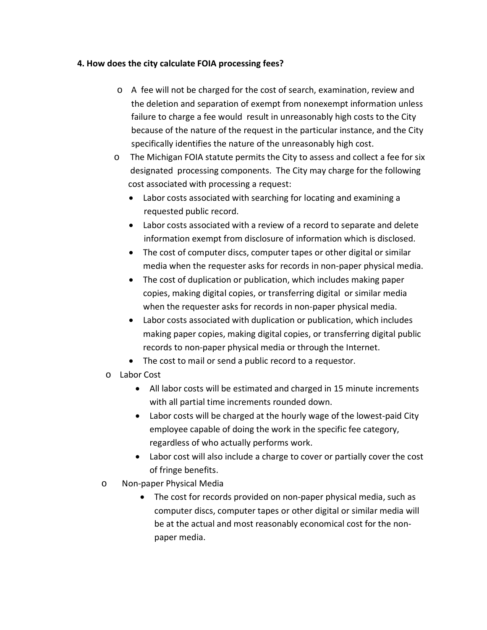#### **4. How does the city calculate FOIA processing fees?**

- o A fee will not be charged for the cost of search, examination, review and the deletion and separation of exempt from nonexempt information unless failure to charge a fee would result in unreasonably high costs to the City because of the nature of the request in the particular instance, and the City specifically identifies the nature of the unreasonably high cost.
- o The Michigan FOIA statute permits the City to assess and collect a fee for six designated processing components. The City may charge for the following cost associated with processing a request:
	- Labor costs associated with searching for locating and examining a requested public record.
	- Labor costs associated with a review of a record to separate and delete information exempt from disclosure of information which is disclosed.
	- The cost of computer discs, computer tapes or other digital or similar media when the requester asks for records in non-paper physical media.
	- The cost of duplication or publication, which includes making paper copies, making digital copies, or transferring digital or similar media when the requester asks for records in non-paper physical media.
	- Labor costs associated with duplication or publication, which includes making paper copies, making digital copies, or transferring digital public records to non-paper physical media or through the Internet.
	- The cost to mail or send a public record to a requestor.
- o Labor Cost
	- All labor costs will be estimated and charged in 15 minute increments with all partial time increments rounded down.
	- Labor costs will be charged at the hourly wage of the lowest-paid City employee capable of doing the work in the specific fee category, regardless of who actually performs work.
	- Labor cost will also include a charge to cover or partially cover the cost of fringe benefits.
- o Non-paper Physical Media
	- The cost for records provided on non-paper physical media, such as computer discs, computer tapes or other digital or similar media will be at the actual and most reasonably economical cost for the nonpaper media.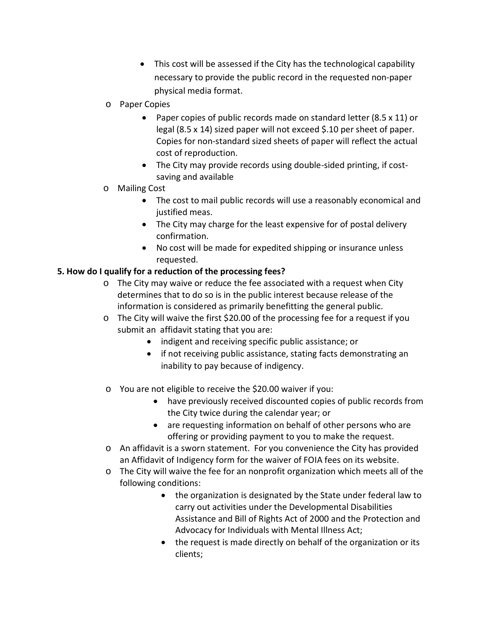- This cost will be assessed if the City has the technological capability necessary to provide the public record in the requested non-paper physical media format.
- o Paper Copies
	- Paper copies of public records made on standard letter (8.5 x 11) or legal (8.5 x 14) sized paper will not exceed \$.10 per sheet of paper. Copies for non-standard sized sheets of paper will reflect the actual cost of reproduction.
	- The City may provide records using double-sided printing, if costsaving and available

## o Mailing Cost

- The cost to mail public records will use a reasonably economical and justified meas.
- The City may charge for the least expensive for of postal delivery confirmation.
- No cost will be made for expedited shipping or insurance unless requested.

# **5. How do I qualify for a reduction of the processing fees?**

- o The City may waive or reduce the fee associated with a request when City determines that to do so is in the public interest because release of the information is considered as primarily benefitting the general public.
- o The City will waive the first \$20.00 of the processing fee for a request if you submit an affidavit stating that you are:
	- indigent and receiving specific public assistance; or
	- if not receiving public assistance, stating facts demonstrating an inability to pay because of indigency.
- o You are not eligible to receive the \$20.00 waiver if you:
	- have previously received discounted copies of public records from the City twice during the calendar year; or
	- are requesting information on behalf of other persons who are offering or providing payment to you to make the request.
- o An affidavit is a sworn statement. For you convenience the City has provided an Affidavit of Indigency form for the waiver of FOIA fees on its website.
- o The City will waive the fee for an nonprofit organization which meets all of the following conditions:
	- the organization is designated by the State under federal law to carry out activities under the Developmental Disabilities Assistance and Bill of Rights Act of 2000 and the Protection and Advocacy for Individuals with Mental Illness Act;
	- the request is made directly on behalf of the organization or its clients;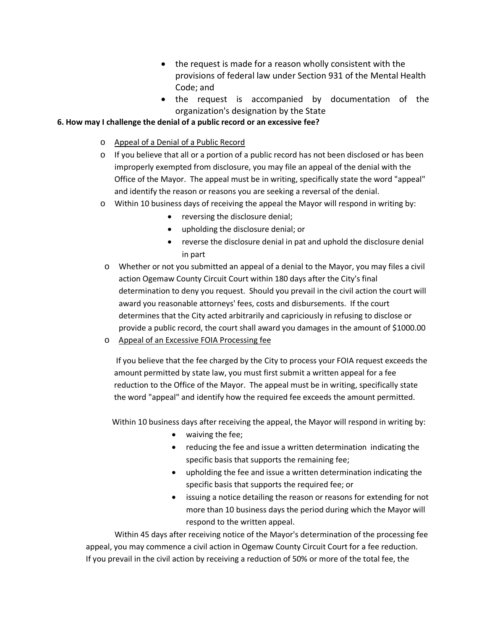- the request is made for a reason wholly consistent with the provisions of federal law under Section 931 of the Mental Health Code; and
- the request is accompanied by documentation of the organization's designation by the State

#### **6. How may I challenge the denial of a public record or an excessive fee?**

- o Appeal of a Denial of a Public Record
- $\circ$  If you believe that all or a portion of a public record has not been disclosed or has been improperly exempted from disclosure, you may file an appeal of the denial with the Office of the Mayor. The appeal must be in writing, specifically state the word "appeal" and identify the reason or reasons you are seeking a reversal of the denial.
- o Within 10 business days of receiving the appeal the Mayor will respond in writing by:
	- reversing the disclosure denial;
	- upholding the disclosure denial; or
	- reverse the disclosure denial in pat and uphold the disclosure denial in part
- o Whether or not you submitted an appeal of a denial to the Mayor, you may files a civil action Ogemaw County Circuit Court within 180 days after the City's final determination to deny you request. Should you prevail in the civil action the court will award you reasonable attorneys' fees, costs and disbursements. If the court determines that the City acted arbitrarily and capriciously in refusing to disclose or provide a public record, the court shall award you damages in the amount of \$1000.00
- o Appeal of an Excessive FOIA Processing fee

 If you believe that the fee charged by the City to process your FOIA request exceeds the amount permitted by state law, you must first submit a written appeal for a fee reduction to the Office of the Mayor. The appeal must be in writing, specifically state the word "appeal" and identify how the required fee exceeds the amount permitted.

Within 10 business days after receiving the appeal, the Mayor will respond in writing by:

- waiving the fee;
- reducing the fee and issue a written determination indicating the specific basis that supports the remaining fee;
- upholding the fee and issue a written determination indicating the specific basis that supports the required fee; or
- issuing a notice detailing the reason or reasons for extending for not more than 10 business days the period during which the Mayor will respond to the written appeal.

Within 45 days after receiving notice of the Mayor's determination of the processing fee appeal, you may commence a civil action in Ogemaw County Circuit Court for a fee reduction. If you prevail in the civil action by receiving a reduction of 50% or more of the total fee, the